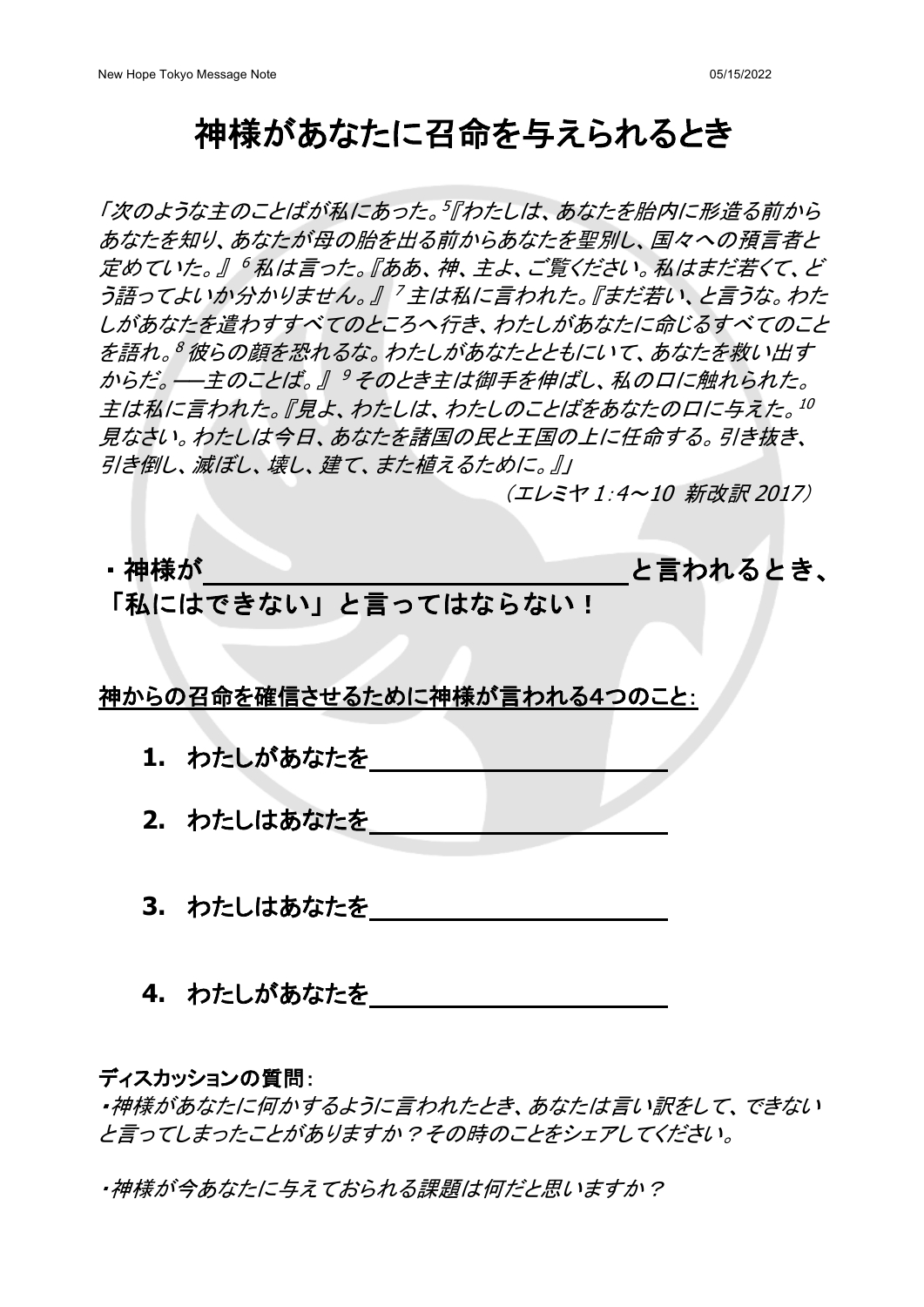### 神様があなたに召命を与えられるとき

「次のような主のことばが私にあった。<sup>5</sup>『わたしは、あなたを胎内に形造る前から あなたを知り、あなたが母の胎を出る前からあなたを聖別し、国々への預言者と 定めていた。』 <sup>6</sup> 私は言った。『ああ、神、主よ、ご覧ください。私はまだ若くて、ど う語ってよいか分かりません。』「主は私に言われた。『まだ若い、と言うな。わた しがあなたを遣わすすべてのところへ行き、わたしがあなたに命じるすべてのこと を語れ。<sup>8</sup> 彼らの顔を恐れるな。わたしがあなたとともにいて、あなたを救い出す からだ。––主のことば。』 タそのとき主は御手を伸ばし、私の口に触れられた。 主は私に言われた。『見よ、わたしは、わたしのことばをあなたの口に与えた。<sup>10</sup> 見なさい。わたしは今日、あなたを諸国の民と王国の上に任命する。引き抜き、 引き倒し、滅ぼし、壊し、建て、また植えるために。』」

(エレミヤ 1:4~10 新改訳 2017)

# ・神様が さいしょう し言われるとき、 「私にはできない」と言ってはならない!

神からの召命を確信させるために神様が言われる4つのこと:

- **1.** わたしがあなたを
- **2.** わたしはあなたを
- **3.** わたしはあなたを
- **4.** わたしがあなたを

ディスカッションの質問:

・神様があなたに何かするように言われたとき、あなたは言い訳をして、できない と言ってしまったことがありますか?その時のことをシェアしてください。

・神様が今あなたに与えておられる課題は何だと思いますか?